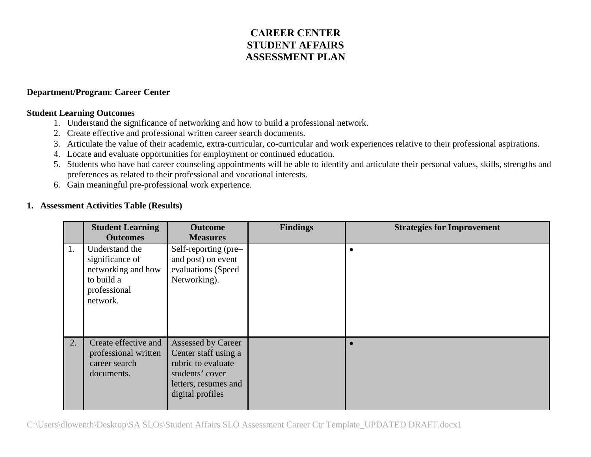## **CAREER CENTER STUDENT AFFAIRS ASSESSMENT PLAN**

## **Department/Program**: **Career Center**

## **Student Learning Outcomes**

- 1. Understand the significance of networking and how to build a professional network.
- 2. Create effective and professional written career search documents.
- 3. Articulate the value of their academic, extra-curricular, co-curricular and work experiences relative to their professional aspirations.
- 4. Locate and evaluate opportunities for employment or continued education.
- 5. Students who have had career counseling appointments will be able to identify and articulate their personal values, skills, strengths and preferences as related to their professional and vocational interests.
- 6. Gain meaningful pre-professional work experience.

## **1. Assessment Activities Table (Results)**

|    | <b>Student Learning</b>                                                                           | <b>Outcome</b>                                                                                                                         | <b>Findings</b> | <b>Strategies for Improvement</b> |
|----|---------------------------------------------------------------------------------------------------|----------------------------------------------------------------------------------------------------------------------------------------|-----------------|-----------------------------------|
|    | <b>Outcomes</b>                                                                                   | <b>Measures</b>                                                                                                                        |                 |                                   |
| 1. | Understand the<br>significance of<br>networking and how<br>to build a<br>professional<br>network. | Self-reporting (pre-<br>and post) on event<br>evaluations (Speed<br>Networking).                                                       |                 |                                   |
| 2. | Create effective and<br>professional written<br>career search<br>documents.                       | <b>Assessed by Career</b><br>Center staff using a<br>rubric to evaluate<br>students' cover<br>letters, resumes and<br>digital profiles |                 |                                   |

C:\Users\dlowenth\Desktop\SA SLOs\Student Affairs SLO Assessment Career Ctr Template\_UPDATED DRAFT.docx1